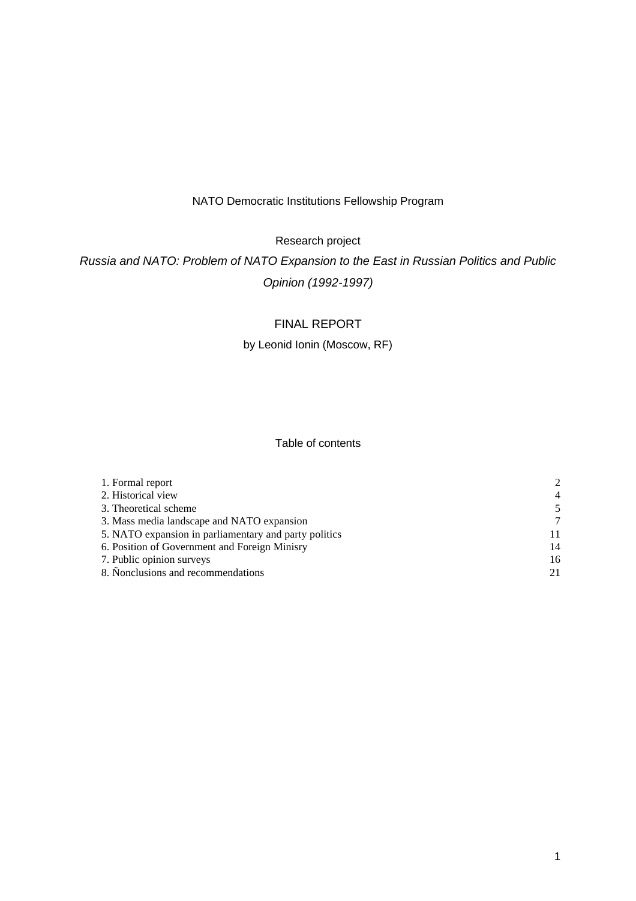## NATO Democratic Institutions Fellowship Program

Research project

*Russia and NATO: Problem of NATO Expansion to the East in Russian Politics and Public Opinion (1992-1997)*

# FINAL REPORT

## by Leonid Ionin (Moscow, RF)

## Table of contents

| 1. Formal report                                      | $\mathcal{D}$  |
|-------------------------------------------------------|----------------|
| 2. Historical view                                    | $\overline{4}$ |
| 3. Theoretical scheme                                 | 5              |
| 3. Mass media landscape and NATO expansion            | 7              |
| 5. NATO expansion in parliamentary and party politics | 11             |
| 6. Position of Government and Foreign Minisry         | 14             |
| 7. Public opinion surveys                             | 16             |
| 8. Nonclusions and recommendations                    | 21             |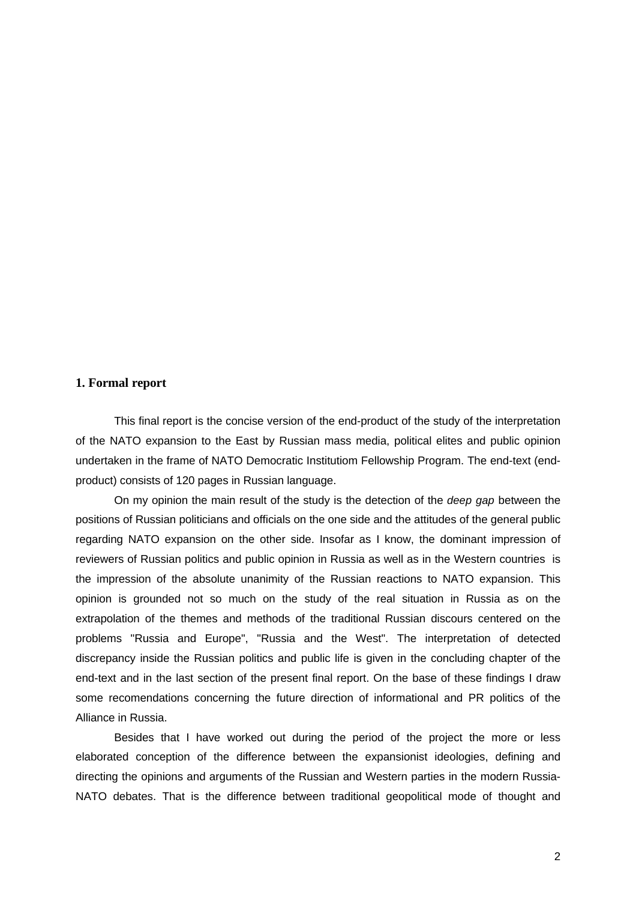#### **1. Formal report**

This final report is the concise version of the end-product of the study of the interpretation of the NATO expansion to the East by Russian mass media, political elites and public opinion undertaken in the frame of NATO Democratic Institutiom Fellowship Program. The end-text (endproduct) consists of 120 pages in Russian language.

On my opinion the main result of the study is the detection of the *deep gap* between the positions of Russian politicians and officials on the one side and the attitudes of the general public regarding NATO expansion on the other side. Insofar as I know, the dominant impression of reviewers of Russian politics and public opinion in Russia as well as in the Western countries is the impression of the absolute unanimity of the Russian reactions to NATO expansion. This opinion is grounded not so much on the study of the real situation in Russia as on the extrapolation of the themes and methods of the traditional Russian discours centered on the problems "Russia and Europe", "Russia and the West". The interpretation of detected discrepancy inside the Russian politics and public life is given in the concluding chapter of the end-text and in the last section of the present final report. On the base of these findings I draw some recomendations concerning the future direction of informational and PR politics of the Alliance in Russia.

Besides that I have worked out during the period of the project the more or less elaborated conception of the difference between the expansionist ideologies, defining and directing the opinions and arguments of the Russian and Western parties in the modern Russia-NATO debates. That is the difference between traditional geopolitical mode of thought and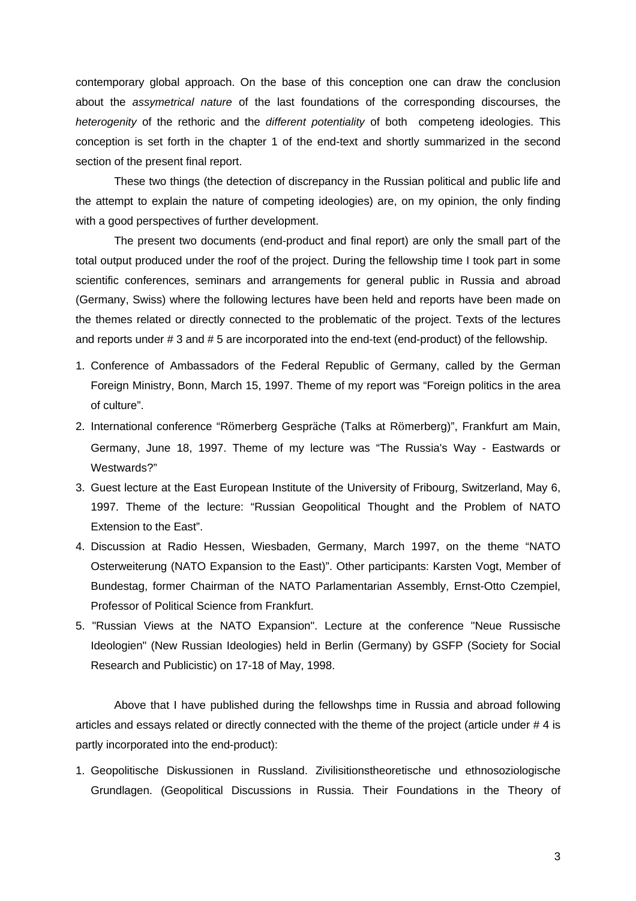contemporary global approach. On the base of this conception one can draw the conclusion about the *assymetrical nature* of the last foundations of the corresponding discourses, the *heterogenity* of the rethoric and the *different potentiality* of both competeng ideologies. This conception is set forth in the chapter 1 of the end-text and shortly summarized in the second section of the present final report.

These two things (the detection of discrepancy in the Russian political and public life and the attempt to explain the nature of competing ideologies) are, on my opinion, the only finding with a good perspectives of further development.

The present two documents (end-product and final report) are only the small part of the total output produced under the roof of the project. During the fellowship time I took part in some scientific conferences, seminars and arrangements for general public in Russia and abroad (Germany, Swiss) where the following lectures have been held and reports have been made on the themes related or directly connected to the problematic of the project. Texts of the lectures and reports under # 3 and # 5 are incorporated into the end-text (end-product) of the fellowship.

- 1. Conference of Ambassadors of the Federal Republic of Germany, called by the German Foreign Ministry, Bonn, March 15, 1997. Theme of my report was "Foreign politics in the area of culture".
- 2. International conference "Römerberg Gespräche (Talks at Römerberg)", Frankfurt am Main, Germany, June 18, 1997. Theme of my lecture was "The Russia's Way - Eastwards or Westwards?"
- 3. Guest lecture at the East European Institute of the University of Fribourg, Switzerland, May 6, 1997. Theme of the lecture: "Russian Geopolitical Thought and the Problem of NATO Extension to the East".
- 4. Discussion at Radio Hessen, Wiesbaden, Germany, March 1997, on the theme "NATO Osterweiterung (NATO Expansion to the East)". Other participants: Karsten Vogt, Member of Bundestag, former Chairman of the NATO Parlamentarian Assembly, Ernst-Otto Czempiel, Professor of Political Science from Frankfurt.
- 5. "Russian Views at the NATO Expansion". Lecture at the conference "Neue Russische Ideologien" (New Russian Ideologies) held in Berlin (Germany) by GSFP (Society for Social Research and Publicistic) on 17-18 of May, 1998.

Above that I have published during the fellowshps time in Russia and abroad following articles and essays related or directly connected with the theme of the project (article under # 4 is partly incorporated into the end-product):

1. Geopolitische Diskussionen in Russland. Zivilisitionstheoretische und ethnosoziologische Grundlagen. (Geopolitical Discussions in Russia. Their Foundations in the Theory of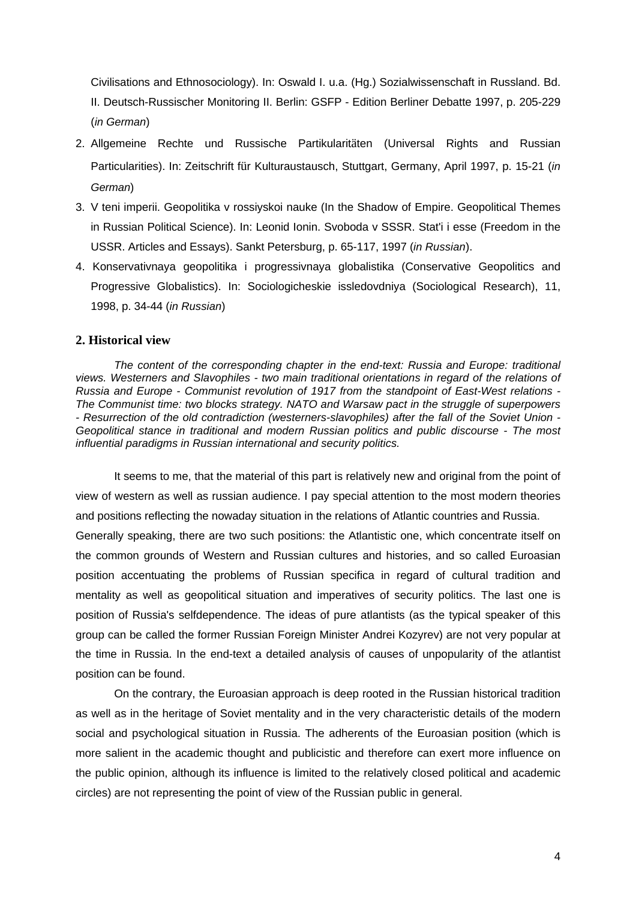Civilisations and Ethnosociology). In: Oswald I. u.a. (Hg.) Sozialwissenschaft in Russland. Bd. II. Deutsch-Russischer Monitoring II. Berlin: GSFP - Edition Berliner Debatte 1997, p. 205-229 (*in German*)

- 2. Allgemeine Rechte und Russische Partikularitäten (Universal Rights and Russian Particularities). In: Zeitschrift für Kulturaustausch, Stuttgart, Germany, April 1997, p. 15-21 (*in German*)
- 3. V teni imperii. Geopolitika v rossiyskoi nauke (In the Shadow of Empire. Geopolitical Themes in Russian Political Science). In: Leonid Ionin. Svoboda v SSSR. Stat'i i esse (Freedom in the USSR. Articles and Essays). Sankt Petersburg, p. 65-117, 1997 (*in Russian*).
- 4. Konservativnaya geopolitika i progressivnaya globalistika (Conservative Geopolitics and Progressive Globalistics). In: Sociologicheskie issledovdniya (Sociological Research), 11, 1998, p. 34-44 (*in Russian*)

## **2. Historical view**

*The content of the corresponding chapter in the end-text: Russia and Europe: traditional views. Westerners and Slavophiles - two main traditional orientations in regard of the relations of Russia and Europe - Communist revolution of 1917 from the standpoint of East-West relations - The Communist time: two blocks strategy. NATO and Warsaw pact in the struggle of superpowers - Resurrection of the old contradiction (westerners-slavophiles) after the fall of the Soviet Union - Geopolitical stance in traditional and modern Russian politics and public discourse - The most influential paradigms in Russian international and security politics.*

It seems to me, that the material of this part is relatively new and original from the point of view of western as well as russian audience. I pay special attention to the most modern theories and positions reflecting the nowaday situation in the relations of Atlantic countries and Russia. Generally speaking, there are two such positions: the Atlantistic one, which concentrate itself on the common grounds of Western and Russian cultures and histories, and so called Euroasian position accentuating the problems of Russian specifica in regard of cultural tradition and mentality as well as geopolitical situation and imperatives of security politics. The last one is position of Russia's selfdependence. The ideas of pure atlantists (as the typical speaker of this group can be called the former Russian Foreign Minister Andrei Kozyrev) are not very popular at the time in Russia. In the end-text a detailed analysis of causes of unpopularity of the atlantist position can be found.

On the contrary, the Euroasian approach is deep rooted in the Russian historical tradition as well as in the heritage of Soviet mentality and in the very characteristic details of the modern social and psychological situation in Russia. The adherents of the Euroasian position (which is more salient in the academic thought and publicistic and therefore can exert more influence on the public opinion, although its influence is limited to the relatively closed political and academic circles) are not representing the point of view of the Russian public in general.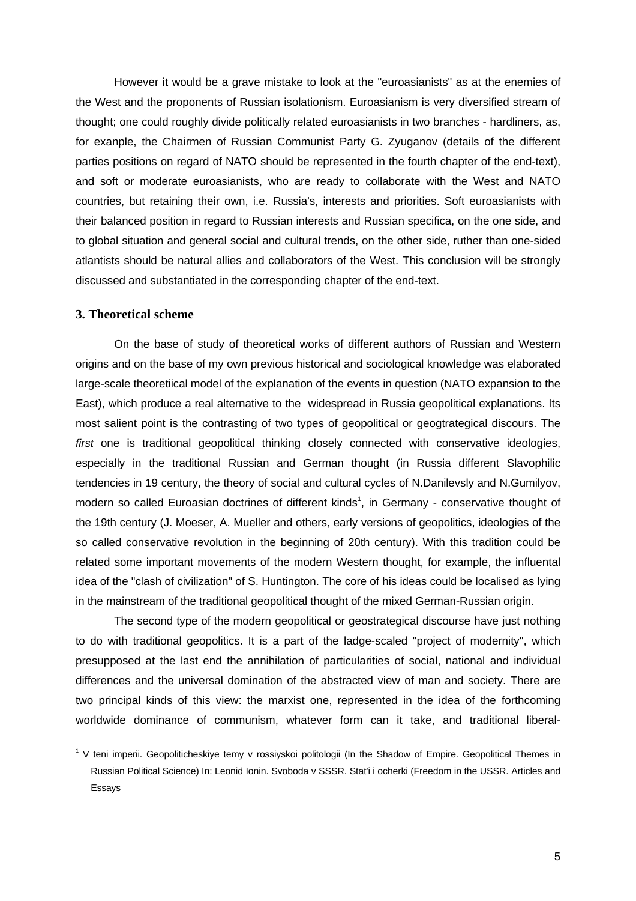However it would be a grave mistake to look at the "euroasianists" as at the enemies of the West and the proponents of Russian isolationism. Euroasianism is very diversified stream of thought; one could roughly divide politically related euroasianists in two branches - hardliners, as, for exanple, the Chairmen of Russian Communist Party G. Zyuganov (details of the different parties positions on regard of NATO should be represented in the fourth chapter of the end-text), and soft or moderate euroasianists, who are ready to collaborate with the West and NATO countries, but retaining their own, i.e. Russia's, interests and priorities. Soft euroasianists with their balanced position in regard to Russian interests and Russian specifica, on the one side, and to global situation and general social and cultural trends, on the other side, ruther than one-sided atlantists should be natural allies and collaborators of the West. This conclusion will be strongly discussed and substantiated in the corresponding chapter of the end-text.

### **3. Theoretical scheme**

On the base of study of theoretical works of different authors of Russian and Western origins and on the base of my own previous historical and sociological knowledge was elaborated large-scale theoretiical model of the explanation of the events in question (NATO expansion to the East), which produce a real alternative to the widespread in Russia geopolitical explanations. Its most salient point is the contrasting of two types of geopolitical or geogtrategical discours. The *first* one is traditional geopolitical thinking closely connected with conservative ideologies, especially in the traditional Russian and German thought (in Russia different Slavophilic tendencies in 19 century, the theory of social and cultural cycles of N.Danilevsly and N.Gumilyov, modern so called Euroasian doctrines of different kinds<sup>1</sup>, in Germany - conservative thought of the 19th century (J. Moeser, A. Mueller and others, early versions of geopolitics, ideologies of the so called conservative revolution in the beginning of 20th century). With this tradition could be related some important movements of the modern Western thought, for example, the influental idea of the "clash of civilization" of S. Huntington. The core of his ideas could be localised as lying in the mainstream of the traditional geopolitical thought of the mixed German-Russian origin.

The second type of the modern geopolitical or geostrategical discourse have just nothing to do with traditional geopolitics. It is a part of the ladge-scaled "project of modernity", which presupposed at the last end the annihilation of particularities of social, national and individual differences and the universal domination of the abstracted view of man and society. There are two principal kinds of this view: the marxist one, represented in the idea of the forthcoming worldwide dominance of communism, whatever form can it take, and traditional liberal-

<sup>1</sup> V teni imperii. Geopoliticheskiye temy v rossiyskoi politologii (In the Shadow of Empire. Geopolitical Themes in Russian Political Science) In: Leonid Ionin. Svoboda v SSSR. Stat'i i ocherki (Freedom in the USSR. Articles and Essays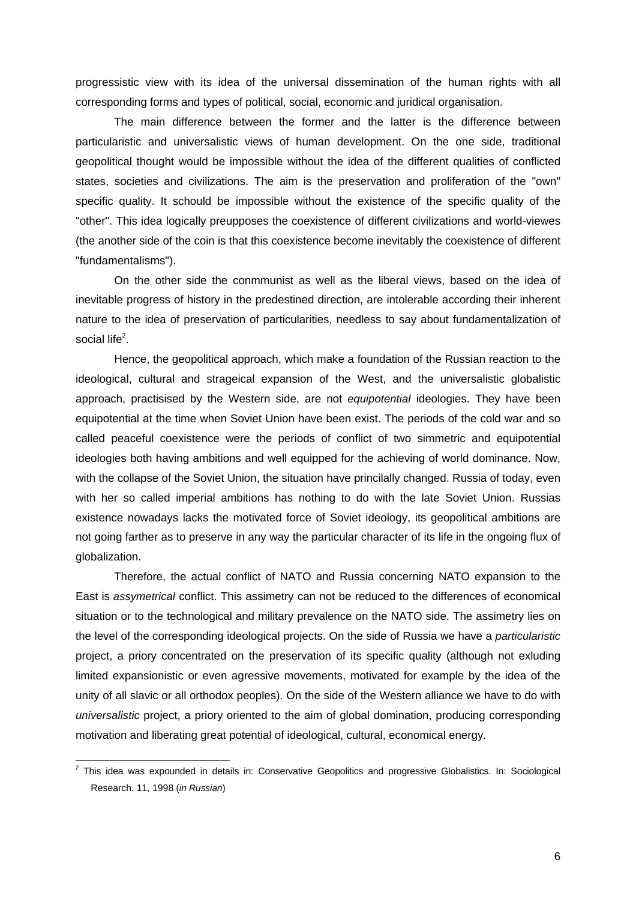progressistic view with its idea of the universal dissemination of the human rights with all corresponding forms and types of political, social, economic and juridical organisation.

The main difference between the former and the latter is the difference between particularistic and universalistic views of human development. On the one side, traditional geopolitical thought would be impossible without the idea of the different qualities of conflicted states, societies and civilizations. The aim is the preservation and proliferation of the "own" specific quality. It schould be impossible without the existence of the specific quality of the "other". This idea logically preupposes the coexistence of different civilizations and world-viewes (the another side of the coin is that this coexistence become inevitably the coexistence of different "fundamentalisms").

On the other side the conmmunist as well as the liberal views, based on the idea of inevitable progress of history in the predestined direction, are intolerable according their inherent nature to the idea of preservation of particularities, needless to say about fundamentalization of social life<sup>2</sup>.

Hence, the geopolitical approach, which make a foundation of the Russian reaction to the ideological, cultural and strageical expansion of the West, and the universalistic globalistic approach, practisised by the Western side, are not *equipotential* ideologies. They have been equipotential at the time when Soviet Union have been exist. The periods of the cold war and so called peaceful coexistence were the periods of conflict of two simmetric and equipotential ideologies both having ambitions and well equipped for the achieving of world dominance. Now, with the collapse of the Soviet Union, the situation have princilally changed. Russia of today, even with her so called imperial ambitions has nothing to do with the late Soviet Union. Russias existence nowadays lacks the motivated force of Soviet ideology, its geopolitical ambitions are not going farther as to preserve in any way the particular character of its life in the ongoing flux of globalization.

Therefore, the actual conflict of NATO and Russia concerning NATO expansion to the East is *assymetrical* conflict. This assimetry can not be reduced to the differences of economical situation or to the technological and military prevalence on the NATO side. The assimetry lies on the level of the corresponding ideological projects. On the side of Russia we have a *particularistic* project, a priory concentrated on the preservation of its specific quality (although not exluding limited expansionistic or even agressive movements, motivated for example by the idea of the unity of all slavic or all orthodox peoples). On the side of the Western alliance we have to do with *universalistic* project, a priory oriented to the aim of global domination, producing corresponding motivation and liberating great potential of ideological, cultural, economical energy.

 $\overline{a}$ 

<sup>&</sup>lt;sup>2</sup> This idea was expounded in details in: Conservative Geopolitics and progressive Globalistics. In: Sociological Research, 11, 1998 (*in Russian*)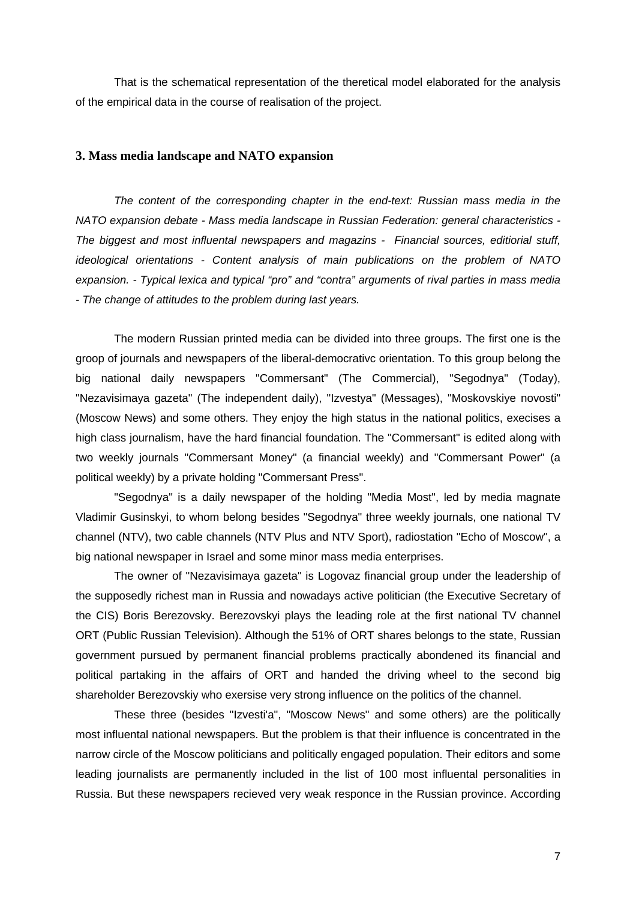That is the schematical representation of the theretical model elaborated for the analysis of the empirical data in the course of realisation of the project.

#### **3. Mass media landscape and NATO expansion**

*The content of the corresponding chapter in the end-text: Russian mass media in the NATO expansion debate - Mass media landscape in Russian Federation: general characteristics - The biggest and most influental newspapers and magazins - Financial sources, editiorial stuff, ideological orientations - Content analysis of main publications on the problem of NATO expansion. - Typical lexica and typical "pro" and "contra" arguments of rival parties in mass media - The change of attitudes to the problem during last years.*

The modern Russian printed media can be divided into three groups. The first one is the groop of journals and newspapers of the liberal-democrativc orientation. To this group belong the big national daily newspapers "Commersant" (The Commercial), "Segodnya" (Today), "Nezavisimaya gazeta" (The independent daily), "Izvestya" (Messages), "Moskovskiye novosti" (Moscow News) and some others. They enjoy the high status in the national politics, execises a high class journalism, have the hard financial foundation. The "Commersant" is edited along with two weekly journals "Commersant Money" (a financial weekly) and "Commersant Power" (a political weekly) by a private holding "Commersant Press".

"Segodnya" is a daily newspaper of the holding "Media Most", led by media magnate Vladimir Gusinskyi, to whom belong besides "Segodnya" three weekly journals, one national TV channel (NTV), two cable channels (NTV Plus and NTV Sport), radiostation "Echo of Moscow", a big national newspaper in Israel and some minor mass media enterprises.

The owner of "Nezavisimaya gazeta" is Logovaz financial group under the leadership of the supposedly richest man in Russia and nowadays active politician (the Executive Secretary of the CIS) Boris Berezovsky. Berezovskyi plays the leading role at the first national TV channel ORT (Public Russian Television). Although the 51% of ORT shares belongs to the state, Russian government pursued by permanent financial problems practically abondened its financial and political partaking in the affairs of ORT and handed the driving wheel to the second big shareholder Berezovskiy who exersise very strong influence on the politics of the channel.

These three (besides "Izvesti'a", "Moscow News" and some others) are the politically most influental national newspapers. But the problem is that their influence is concentrated in the narrow circle of the Moscow politicians and politically engaged population. Their editors and some leading journalists are permanently included in the list of 100 most influental personalities in Russia. But these newspapers recieved very weak responce in the Russian province. According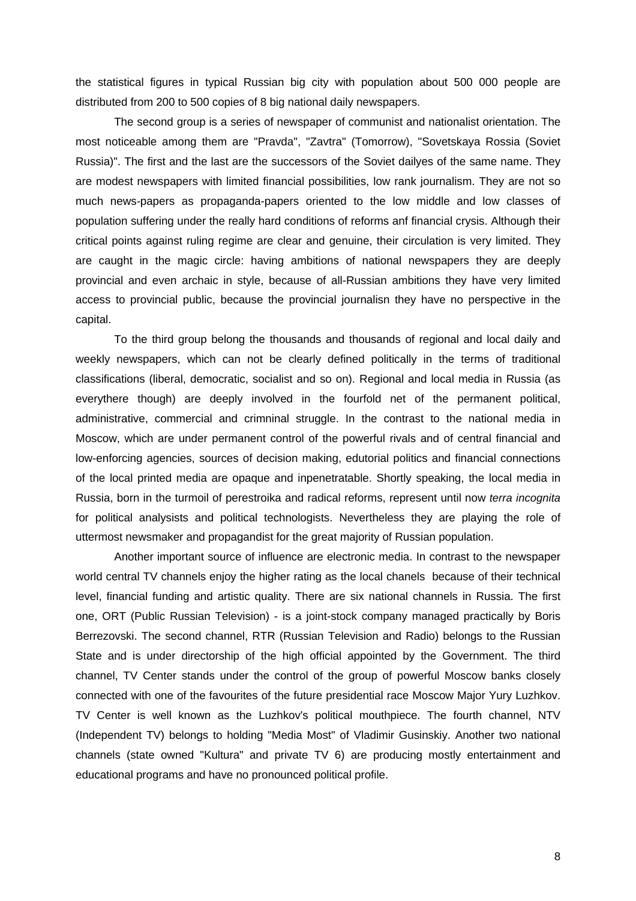the statistical figures in typical Russian big city with population about 500 000 people are distributed from 200 to 500 copies of 8 big national daily newspapers.

The second group is a series of newspaper of communist and nationalist orientation. The most noticeable among them are "Pravda", "Zavtra" (Tomorrow), "Sovetskaya Rossia (Soviet Russia)". The first and the last are the successors of the Soviet dailyes of the same name. They are modest newspapers with limited financial possibilities, low rank journalism. They are not so much news*-*papers as propaganda-papers oriented to the low middle and low classes of population suffering under the really hard conditions of reforms anf financial crysis. Although their critical points against ruling regime are clear and genuine, their circulation is very limited. They are caught in the magic circle: having ambitions of national newspapers they are deeply provincial and even archaic in style, because of all-Russian ambitions they have very limited access to provincial public, because the provincial journalisn they have no perspective in the capital.

To the third group belong the thousands and thousands of regional and local daily and weekly newspapers, which can not be clearly defined politically in the terms of traditional classifications (liberal, democratic, socialist and so on). Regional and local media in Russia (as everythere though) are deeply involved in the fourfold net of the permanent political, administrative, commercial and crimninal struggle. In the contrast to the national media in Moscow, which are under permanent control of the powerful rivals and of central financial and low-enforcing agencies, sources of decision making, edutorial politics and financial connections of the local printed media are opaque and inpenetratable. Shortly speaking, the local media in Russia, born in the turmoil of perestroika and radical reforms, represent until now *terra incognita* for political analysists and political technologists. Nevertheless they are playing the role of uttermost newsmaker and propagandist for the great majority of Russian population.

Another important source of influence are electronic media. In contrast to the newspaper world central TV channels enjoy the higher rating as the local chanels because of their technical level, financial funding and artistic quality. There are six national channels in Russia. The first one, ORT (Public Russian Television) - is a joint-stock company managed practically by Boris Berrezovski. The second channel, RTR (Russian Television and Radio) belongs to the Russian State and is under directorship of the high official appointed by the Government. The third channel, TV Center stands under the control of the group of powerful Moscow banks closely connected with one of the favourites of the future presidential race Moscow Major Yury Luzhkov. TV Center is well known as the Luzhkov's political mouthpiece. The fourth channel, NTV (Independent TV) belongs to holding "Media Most" of Vladimir Gusinskiy. Another two national channels (state owned "Kultura" and private TV 6) are producing mostly entertainment and educational programs and have no pronounced political profile.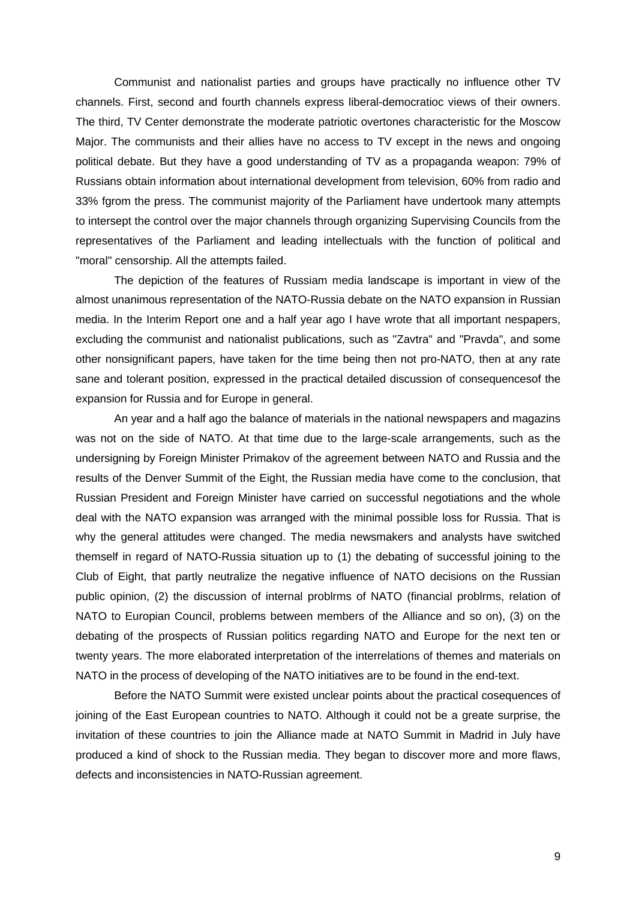Communist and nationalist parties and groups have practically no influence other TV channels. First, second and fourth channels express liberal-democratioc views of their owners. The third, TV Center demonstrate the moderate patriotic overtones characteristic for the Moscow Major. The communists and their allies have no access to TV except in the news and ongoing political debate. But they have a good understanding of TV as a propaganda weapon: 79% of Russians obtain information about international development from television, 60% from radio and 33% fgrom the press. The communist majority of the Parliament have undertook many attempts to intersept the control over the major channels through organizing Supervising Councils from the representatives of the Parliament and leading intellectuals with the function of political and "moral" censorship. All the attempts failed.

The depiction of the features of Russiam media landscape is important in view of the almost unanimous representation of the NATO-Russia debate on the NATO expansion in Russian media. In the Interim Report one and a half year ago I have wrote that all important nespapers, excluding the communist and nationalist publications, such as "Zavtra" and "Pravda", and some other nonsignificant papers, have taken for the time being then not pro-NATO, then at any rate sane and tolerant position, expressed in the practical detailed discussion of consequencesof the expansion for Russia and for Europe in general.

An year and a half ago the balance of materials in the national newspapers and magazins was not on the side of NATO. At that time due to the large-scale arrangements, such as the undersigning by Foreign Minister Primakov of the agreement between NATO and Russia and the results of the Denver Summit of the Eight, the Russian media have come to the conclusion, that Russian President and Foreign Minister have carried on successful negotiations and the whole deal with the NATO expansion was arranged with the minimal possible loss for Russia. That is why the general attitudes were changed. The media newsmakers and analysts have switched themself in regard of NATO-Russia situation up to (1) the debating of successful joining to the Club of Eight, that partly neutralize the negative influence of NATO decisions on the Russian public opinion, (2) the discussion of internal problrms of NATO (financial problrms, relation of NATO to Europian Council, problems between members of the Alliance and so on), (3) on the debating of the prospects of Russian politics regarding NATO and Europe for the next ten or twenty years. The more elaborated interpretation of the interrelations of themes and materials on NATO in the process of developing of the NATO initiatives are to be found in the end-text.

Before the NATO Summit were existed unclear points about the practical cosequences of joining of the East European countries to NATO. Although it could not be a greate surprise, the invitation of these countries to join the Alliance made at NATO Summit in Madrid in July have produced a kind of shock to the Russian media. They began to discover more and more flaws, defects and inconsistencies in NATO-Russian agreement.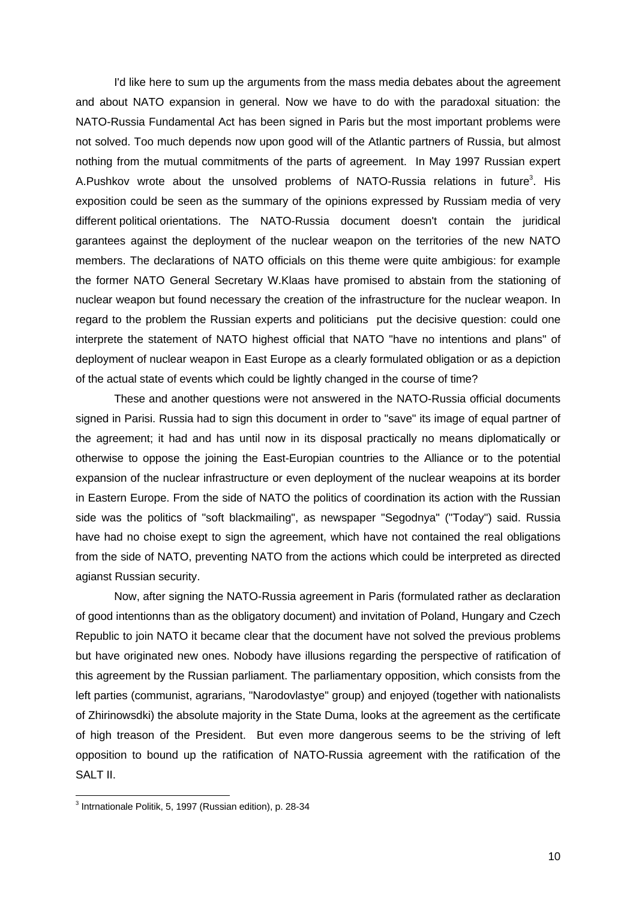I'd like here to sum up the arguments from the mass media debates about the agreement and about NATO expansion in general. Now we have to do with the paradoxal situation: the NATO-Russia Fundamental Act has been signed in Paris but the most important problems were not solved. Too much depends now upon good will of the Atlantic partners of Russia, but almost nothing from the mutual commitments of the parts of agreement. In May 1997 Russian expert A.Pushkov wrote about the unsolved problems of NATO-Russia relations in future<sup>3</sup>. His exposition could be seen as the summary of the opinions expressed by Russiam media of very different political orientations. The NATO-Russia document doesn't contain the juridical garantees against the deployment of the nuclear weapon on the territories of the new NATO members. The declarations of NATO officials on this theme were quite ambigious: for example the former NATO General Secretary W.Klaas have promised to abstain from the stationing of nuclear weapon but found necessary the creation of the infrastructure for the nuclear weapon. In regard to the problem the Russian experts and politicians put the decisive question: could one interprete the statement of NATO highest official that NATO "have no intentions and plans" of deployment of nuclear weapon in East Europe as a clearly formulated obligation or as a depiction of the actual state of events which could be lightly changed in the course of time?

These and another questions were not answered in the NATO-Russia official documents signed in Parisi. Russia had to sign this document in order to "save" its image of equal partner of the agreement; it had and has until now in its disposal practically no means diplomatically or otherwise to oppose the joining the East-Europian countries to the Alliance or to the potential expansion of the nuclear infrastructure or even deployment of the nuclear weapoins at its border in Eastern Europe. From the side of NATO the politics of coordination its action with the Russian side was the politics of "soft blackmailing", as newspaper "Segodnya" ("Today") said. Russia have had no choise exept to sign the agreement, which have not contained the real obligations from the side of NATO, preventing NATO from the actions which could be interpreted as directed agianst Russian security.

Now, after signing the NATO-Russia agreement in Paris (formulated rather as declaration of good intentionns than as the obligatory document) and invitation of Poland, Hungary and Czech Republic to join NATO it became clear that the document have not solved the previous problems but have originated new ones. Nobody have illusions regarding the perspective of ratification of this agreement by the Russian parliament. The parliamentary opposition, which consists from the left parties (communist, agrarians, "Narodovlastye" group) and enjoyed (together with nationalists of Zhirinowsdki) the absolute majority in the State Duma, looks at the agreement as the certificate of high treason of the President. But even more dangerous seems to be the striving of left opposition to bound up the ratification of NATO-Russia agreement with the ratification of the SALT II.

 3 Intrnationale Politik, 5, 1997 (Russian edition), p. 28-34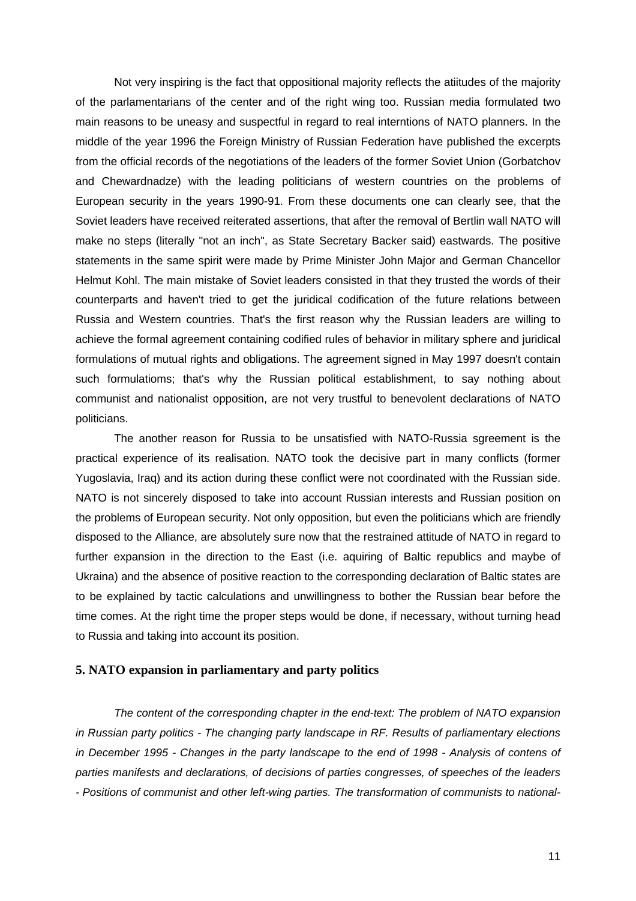Not very inspiring is the fact that oppositional majority reflects the atiitudes of the majority of the parlamentarians of the center and of the right wing too. Russian media formulated two main reasons to be uneasy and suspectful in regard to real interntions of NATO planners. In the middle of the year 1996 the Foreign Ministry of Russian Federation have published the excerpts from the official records of the negotiations of the leaders of the former Soviet Union (Gorbatchov and Chewardnadze) with the leading politicians of western countries on the problems of European security in the years 1990-91. From these documents one can clearly see, that the Soviet leaders have received reiterated assertions, that after the removal of Bertlin wall NATO will make no steps (literally "not an inch", as State Secretary Backer said) eastwards. The positive statements in the same spirit were made by Prime Minister John Major and German Chancellor Helmut Kohl. The main mistake of Soviet leaders consisted in that they trusted the words of their counterparts and haven't tried to get the juridical codification of the future relations between Russia and Western countries. That's the first reason why the Russian leaders are willing to achieve the formal agreement containing codified rules of behavior in military sphere and juridical formulations of mutual rights and obligations. The agreement signed in May 1997 doesn't contain such formulatioms; that's why the Russian political establishment, to say nothing about communist and nationalist opposition, are not very trustful to benevolent declarations of NATO politicians.

The another reason for Russia to be unsatisfied with NATO-Russia sgreement is the practical experience of its realisation. NATO took the decisive part in many conflicts (former Yugoslavia, Iraq) and its action during these conflict were not coordinated with the Russian side. NATO is not sincerely disposed to take into account Russian interests and Russian position on the problems of European security. Not only opposition, but even the politicians which are friendly disposed to the Alliance, are absolutely sure now that the restrained attitude of NATO in regard to further expansion in the direction to the East (i.e. aquiring of Baltic republics and maybe of Ukraina) and the absence of positive reaction to the corresponding declaration of Baltic states are to be explained by tactic calculations and unwillingness to bother the Russian bear before the time comes. At the right time the proper steps would be done, if necessary, without turning head to Russia and taking into account its position.

## **5. NATO expansion in parliamentary and party politics**

*The content of the corresponding chapter in the end-text: The problem of NATO expansion in Russian party politics - The changing party landscape in RF. Results of parliamentary elections in December 1995 - Changes in the party landscape to the end of 1998 - Analysis of contens of parties manifests and declarations, of decisions of parties congresses, of speeches of the leaders - Positions of communist and other left-wing parties. The transformation of communists to national-*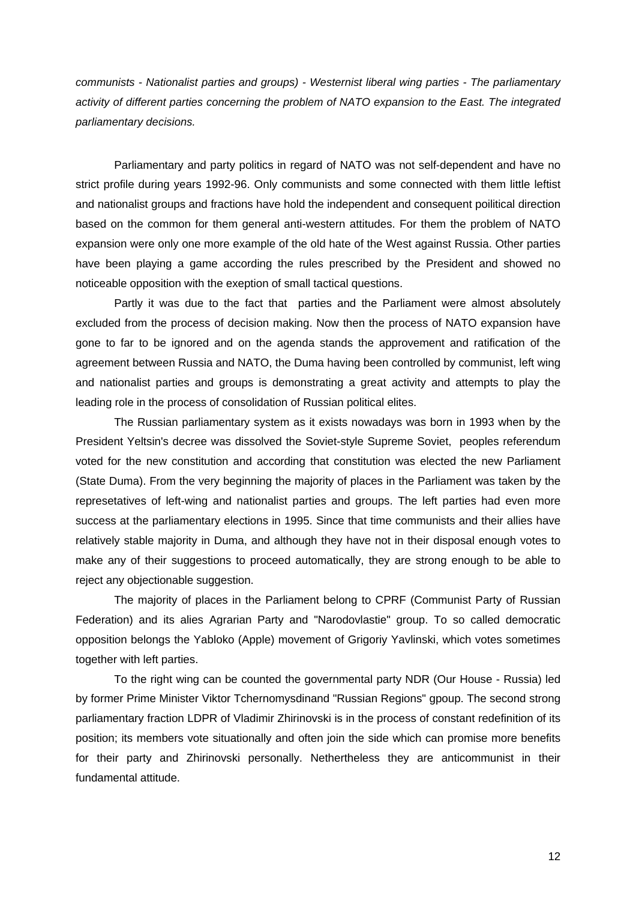*communists - Nationalist parties and groups) - Westernist liberal wing parties - The parliamentary activity of different parties concerning the problem of NATO expansion to the East. The integrated parliamentary decisions.*

Parliamentary and party politics in regard of NATO was not self-dependent and have no strict profile during years 1992-96. Only communists and some connected with them little leftist and nationalist groups and fractions have hold the independent and consequent poilitical direction based on the common for them general anti-western attitudes. For them the problem of NATO expansion were only one more example of the old hate of the West against Russia. Other parties have been playing a game according the rules prescribed by the President and showed no noticeable opposition with the exeption of small tactical questions.

Partly it was due to the fact that parties and the Parliament were almost absolutely excluded from the process of decision making. Now then the process of NATO expansion have gone to far to be ignored and on the agenda stands the approvement and ratification of the agreement between Russia and NATO, the Duma having been controlled by communist, left wing and nationalist parties and groups is demonstrating a great activity and attempts to play the leading role in the process of consolidation of Russian political elites.

The Russian parliamentary system as it exists nowadays was born in 1993 when by the President Yeltsin's decree was dissolved the Soviet-style Supreme Soviet, peoples referendum voted for the new constitution and according that constitution was elected the new Parliament (State Duma). From the very beginning the majority of places in the Parliament was taken by the represetatives of left-wing and nationalist parties and groups. The left parties had even more success at the parliamentary elections in 1995. Since that time communists and their allies have relatively stable majority in Duma, and although they have not in their disposal enough votes to make any of their suggestions to proceed automatically, they are strong enough to be able to reject any objectionable suggestion.

The majority of places in the Parliament belong to CPRF (Communist Party of Russian Federation) and its alies Agrarian Party and "Narodovlastie" group. To so called democratic opposition belongs the Yabloko (Apple) movement of Grigoriy Yavlinski, which votes sometimes together with left parties.

To the right wing can be counted the governmental party NDR (Our House - Russia) led by former Prime Minister Viktor Tchernomysdinand "Russian Regions" gpoup. The second strong parliamentary fraction LDPR of Vladimir Zhirinovski is in the process of constant redefinition of its position; its members vote situationally and often join the side which can promise more benefits for their party and Zhirinovski personally. Nethertheless they are anticommunist in their fundamental attitude.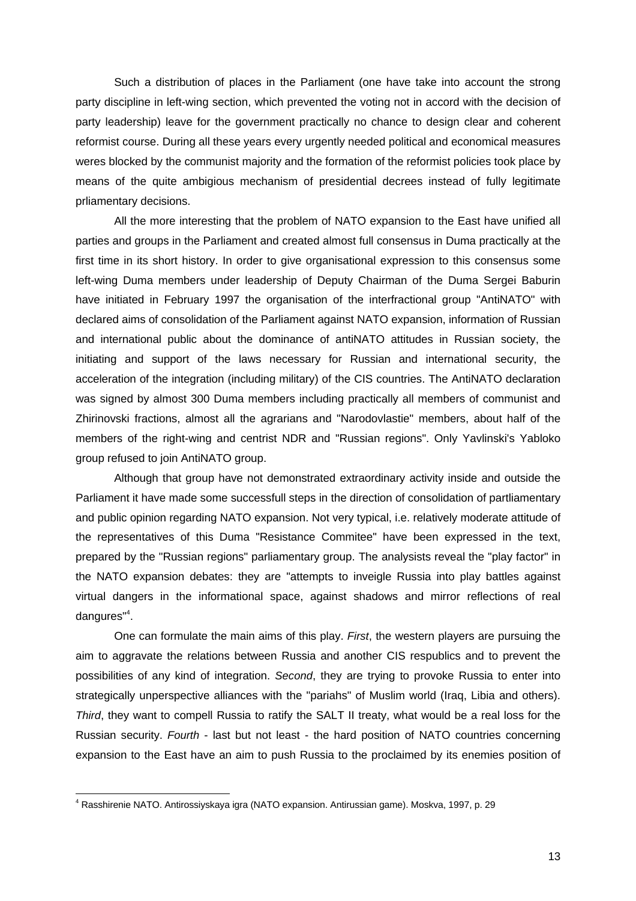Such a distribution of places in the Parliament (one have take into account the strong party discipline in left-wing section, which prevented the voting not in accord with the decision of party leadership) leave for the government practically no chance to design clear and coherent reformist course. During all these years every urgently needed political and economical measures weres blocked by the communist majority and the formation of the reformist policies took place by means of the quite ambigious mechanism of presidential decrees instead of fully legitimate prliamentary decisions.

All the more interesting that the problem of NATO expansion to the East have unified all parties and groups in the Parliament and created almost full consensus in Duma practically at the first time in its short history. In order to give organisational expression to this consensus some left-wing Duma members under leadership of Deputy Chairman of the Duma Sergei Baburin have initiated in February 1997 the organisation of the interfractional group "AntiNATO" with declared aims of consolidation of the Parliament against NATO expansion, information of Russian and international public about the dominance of antiNATO attitudes in Russian society, the initiating and support of the laws necessary for Russian and international security, the acceleration of the integration (including military) of the CIS countries. The AntiNATO declaration was signed by almost 300 Duma members including practically all members of communist and Zhirinovski fractions, almost all the agrarians and "Narodovlastie" members, about half of the members of the right-wing and centrist NDR and "Russian regions". Only Yavlinski's Yabloko group refused to join AntiNATO group.

Although that group have not demonstrated extraordinary activity inside and outside the Parliament it have made some successfull steps in the direction of consolidation of partliamentary and public opinion regarding NATO expansion. Not very typical, i.e. relatively moderate attitude of the representatives of this Duma "Resistance Commitee" have been expressed in the text, prepared by the "Russian regions" parliamentary group. The analysists reveal the "play factor" in the NATO expansion debates: they are "attempts to inveigle Russia into play battles against virtual dangers in the informational space, against shadows and mirror reflections of real dangures"<sup>4</sup>.

One can formulate the main aims of this play. *First*, the western players are pursuing the aim to aggravate the relations between Russia and another CIS respublics and to prevent the possibilities of any kind of integration. *Second*, they are trying to provoke Russia to enter into strategically unperspective alliances with the "pariahs" of Muslim world (Iraq, Libia and others). *Third*, they want to compell Russia to ratify the SALT II treaty, what would be a real loss for the Russian security. *Fourth* - last but not least - the hard position of NATO countries concerning expansion to the East have an aim to push Russia to the proclaimed by its enemies position of

 4 Rasshirenie NATO. Antirossiyskaya igra (NATO expansion. Antirussian game). Moskva, 1997, p. 29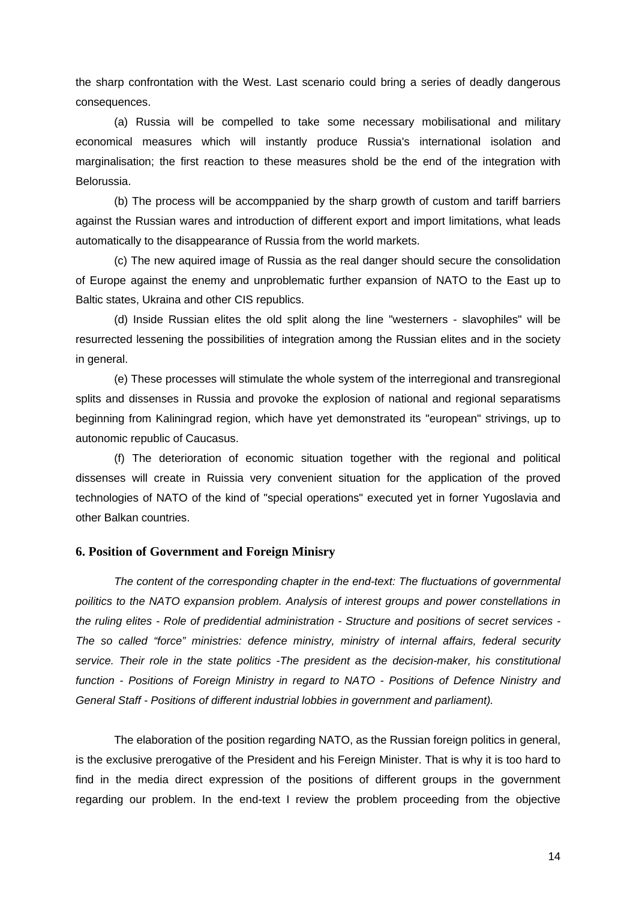the sharp confrontation with the West. Last scenario could bring a series of deadly dangerous consequences.

(a) Russia will be compelled to take some necessary mobilisational and military economical measures which will instantly produce Russia's international isolation and marginalisation; the first reaction to these measures shold be the end of the integration with Belorussia.

(b) The process will be accomppanied by the sharp growth of custom and tariff barriers against the Russian wares and introduction of different export and import limitations, what leads automatically to the disappearance of Russia from the world markets.

(c) The new aquired image of Russia as the real danger should secure the consolidation of Europe against the enemy and unproblematic further expansion of NATO to the East up to Baltic states, Ukraina and other CIS republics.

(d) Inside Russian elites the old split along the line "westerners - slavophiles" will be resurrected lessening the possibilities of integration among the Russian elites and in the society in general.

(e) These processes will stimulate the whole system of the interregional and transregional splits and dissenses in Russia and provoke the explosion of national and regional separatisms beginning from Kaliningrad region, which have yet demonstrated its "european" strivings, up to autonomic republic of Caucasus.

(f) The deterioration of economic situation together with the regional and political dissenses will create in Ruissia very convenient situation for the application of the proved technologies of NATO of the kind of "special operations" executed yet in forner Yugoslavia and other Balkan countries.

#### **6. Position of Government and Foreign Minisry**

*The content of the corresponding chapter in the end-text: The fluctuations of governmental poilitics to the NATO expansion problem. Analysis of interest groups and power constellations in the ruling elites - Role of predidential administration - Structure and positions of secret services - The so called "force" ministries: defence ministry, ministry of internal affairs, federal security service. Their role in the state politics -The president as the decision-maker, his constitutional function - Positions of Foreign Ministry in regard to NATO - Positions of Defence Ninistry and General Staff - Positions of different industrial lobbies in government and parliament).*

The elaboration of the position regarding NATO, as the Russian foreign politics in general, is the exclusive prerogative of the President and his Fereign Minister. That is why it is too hard to find in the media direct expression of the positions of different groups in the government regarding our problem. In the end-text I review the problem proceeding from the objective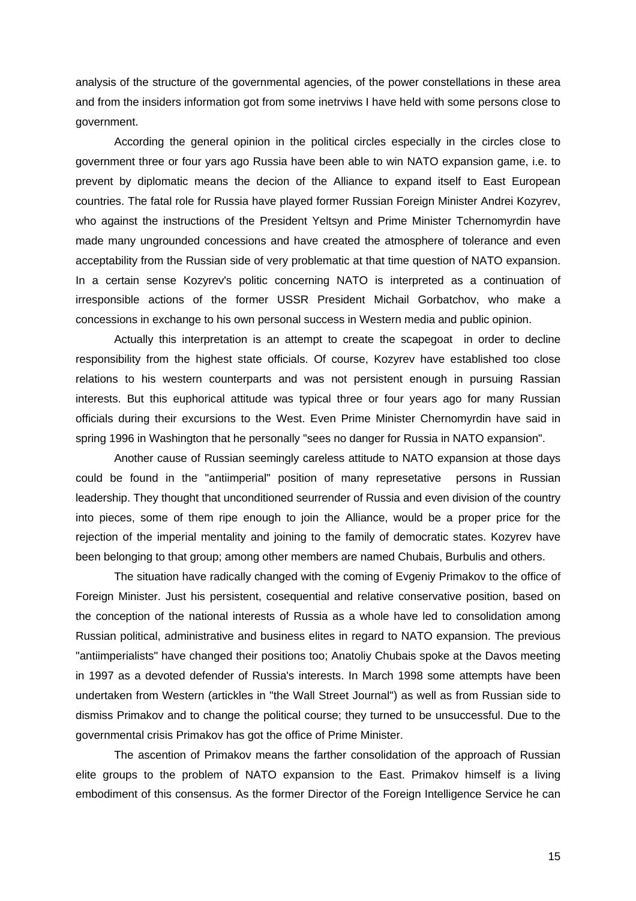analysis of the structure of the governmental agencies, of the power constellations in these area and from the insiders information got from some inetrviws I have held with some persons close to government.

According the general opinion in the political circles especially in the circles close to government three or four yars ago Russia have been able to win NATO expansion game, i.e. to prevent by diplomatic means the decion of the Alliance to expand itself to East European countries. The fatal role for Russia have played former Russian Foreign Minister Andrei Kozyrev, who against the instructions of the President Yeltsyn and Prime Minister Tchernomyrdin have made many ungrounded concessions and have created the atmosphere of tolerance and even acceptability from the Russian side of very problematic at that time question of NATO expansion. In a certain sense Kozyrev's politic concerning NATO is interpreted as a continuation of irresponsible actions of the former USSR President Michail Gorbatchov, who make a concessions in exchange to his own personal success in Western media and public opinion.

Actually this interpretation is an attempt to create the scapegoat in order to decline responsibility from the highest state officials. Of course, Kozyrev have established too close relations to his western counterparts and was not persistent enough in pursuing Rassian interests. But this euphorical attitude was typical three or four years ago for many Russian officials during their excursions to the West. Even Prime Minister Chernomyrdin have said in spring 1996 in Washington that he personally "sees no danger for Russia in NATO expansion".

Another cause of Russian seemingly careless attitude to NATO expansion at those days could be found in the "antiimperial" position of many represetative persons in Russian leadership. They thought that unconditioned seurrender of Russia and even division of the country into pieces, some of them ripe enough to join the Alliance, would be a proper price for the rejection of the imperial mentality and joining to the family of democratic states. Kozyrev have been belonging to that group; among other members are named Chubais, Burbulis and others.

The situation have radically changed with the coming of Evgeniy Primakov to the office of Foreign Minister. Just his persistent, cosequential and relative conservative position, based on the conception of the national interests of Russia as a whole have led to consolidation among Russian political, administrative and business elites in regard to NATO expansion. The previous "antiimperialists" have changed their positions too; Anatoliy Chubais spoke at the Davos meeting in 1997 as a devoted defender of Russia's interests. In March 1998 some attempts have been undertaken from Western (artickles in "the Wall Street Journal") as well as from Russian side to dismiss Primakov and to change the political course; they turned to be unsuccessful. Due to the governmental crisis Primakov has got the office of Prime Minister.

The ascention of Primakov means the farther consolidation of the approach of Russian elite groups to the problem of NATO expansion to the East. Primakov himself is a living embodiment of this consensus. As the former Director of the Foreign Intelligence Service he can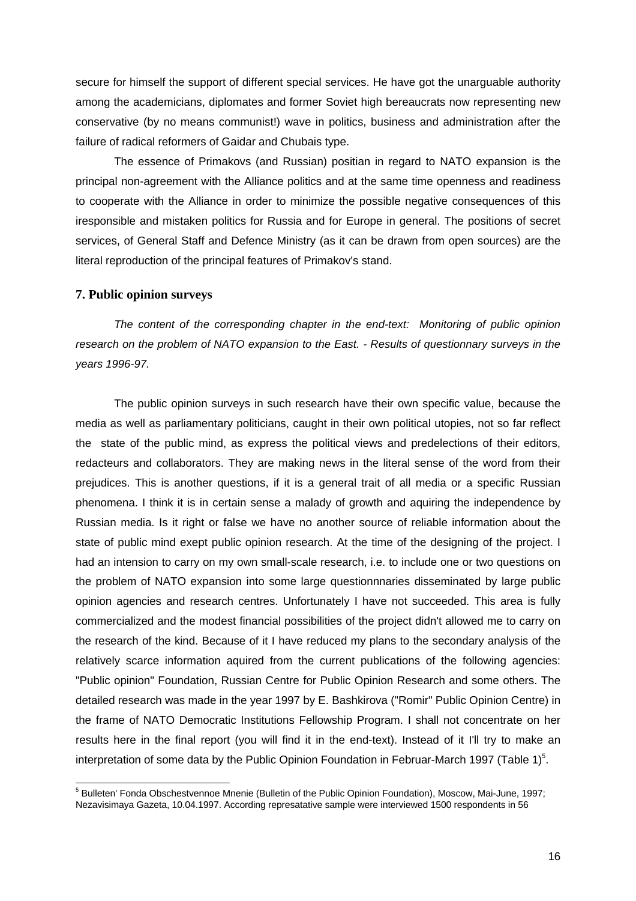secure for himself the support of different special services. He have got the unarguable authority among the academicians, diplomates and former Soviet high bereaucrats now representing new conservative (by no means communist!) wave in politics, business and administration after the failure of radical reformers of Gaidar and Chubais type.

The essence of Primakovs (and Russian) positian in regard to NATO expansion is the principal non-agreement with the Alliance politics and at the same time openness and readiness to cooperate with the Alliance in order to minimize the possible negative consequences of this iresponsible and mistaken politics for Russia and for Europe in general. The positions of secret services, of General Staff and Defence Ministry (as it can be drawn from open sources) are the literal reproduction of the principal features of Primakov's stand.

#### **7. Public opinion surveys**

 $\overline{a}$ 

*The content of the corresponding chapter in the end-text: Monitoring of public opinion research on the problem of NATO expansion to the East. - Results of questionnary surveys in the years 1996-97.*

The public opinion surveys in such research have their own specific value, because the media as well as parliamentary politicians, caught in their own political utopies, not so far reflect the state of the public mind, as express the political views and predelections of their editors, redacteurs and collaborators. They are making news in the literal sense of the word from their prejudices. This is another questions, if it is a general trait of all media or a specific Russian phenomena. I think it is in certain sense a malady of growth and aquiring the independence by Russian media. Is it right or false we have no another source of reliable information about the state of public mind exept public opinion research. At the time of the designing of the project. I had an intension to carry on my own small-scale research, i.e. to include one or two questions on the problem of NATO expansion into some large questionnnaries disseminated by large public opinion agencies and research centres. Unfortunately I have not succeeded. This area is fully commercialized and the modest financial possibilities of the project didn't allowed me to carry on the research of the kind. Because of it I have reduced my plans to the secondary analysis of the relatively scarce information aquired from the current publications of the following agencies: "Public opinion" Foundation, Russian Centre for Public Opinion Research and some others. The detailed research was made in the year 1997 by E. Bashkirova ("Romir" Public Opinion Centre) in the frame of NATO Democratic Institutions Fellowship Program. I shall not concentrate on her results here in the final report (you will find it in the end-text). Instead of it I'll try to make an interpretation of some data by the Public Opinion Foundation in Februar-March 1997 (Table 1)<sup>5</sup>.

<sup>&</sup>lt;sup>5</sup> Bulleten' Fonda Obschestvennoe Mnenie (Bulletin of the Public Opinion Foundation), Moscow, Mai-June, 1997; Nezavisimaya Gazeta, 10.04.1997. According represatative sample were interviewed 1500 respondents in 56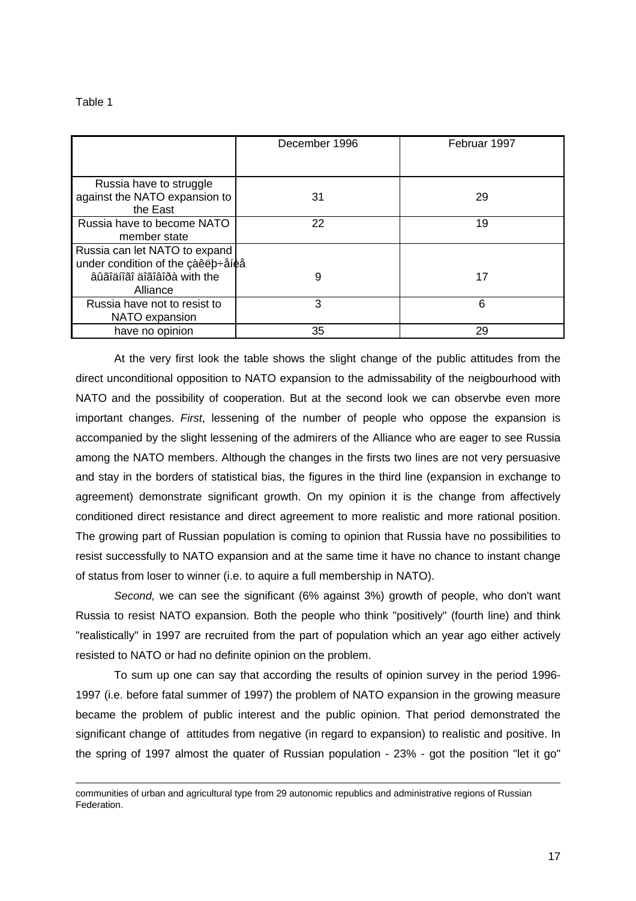Table 1

-

|                                   | December 1996 | Februar 1997 |
|-----------------------------------|---------------|--------------|
|                                   |               |              |
|                                   |               |              |
|                                   |               |              |
| Russia have to struggle           |               |              |
| against the NATO expansion to     | 31            | 29           |
| the East                          |               |              |
| Russia have to become NATO        | 22            | 19           |
| member state                      |               |              |
| Russia can let NATO to expand     |               |              |
| under condition of the çàêëb÷åíèå |               |              |
| âûãîäíîãî äîãîâîðà with the       | 9             | 17           |
| Alliance                          |               |              |
| Russia have not to resist to      | 3             | 6            |
| NATO expansion                    |               |              |
| have no opinion                   | 35            | 29           |

At the very first look the table shows the slight change of the public attitudes from the direct unconditional opposition to NATO expansion to the admissability of the neigbourhood with NATO and the possibility of cooperation. But at the second look we can observbe even more important changes. *First*, lessening of the number of people who oppose the expansion is accompanied by the slight lessening of the admirers of the Alliance who are eager to see Russia among the NATO members. Although the changes in the firsts two lines are not very persuasive and stay in the borders of statistical bias, the figures in the third line (expansion in exchange to agreement) demonstrate significant growth. On my opinion it is the change from affectively conditioned direct resistance and direct agreement to more realistic and more rational position. The growing part of Russian population is coming to opinion that Russia have no possibilities to resist successfully to NATO expansion and at the same time it have no chance to instant change of status from loser to winner (i.e. to aquire a full membership in NATO).

*Second,* we can see the significant (6% against 3%) growth of people, who don't want Russia to resist NATO expansion. Both the people who think "positively" (fourth line) and think "realistically" in 1997 are recruited from the part of population which an year ago either actively resisted to NATO or had no definite opinion on the problem.

To sum up one can say that according the results of opinion survey in the period 1996- 1997 (i.e. before fatal summer of 1997) the problem of NATO expansion in the growing measure became the problem of public interest and the public opinion. That period demonstrated the significant change of attitudes from negative (in regard to expansion) to realistic and positive. In the spring of 1997 almost the quater of Russian population - 23% - got the position "let it go"

communities of urban and agricultural type from 29 autonomic republics and administrative regions of Russian Federation.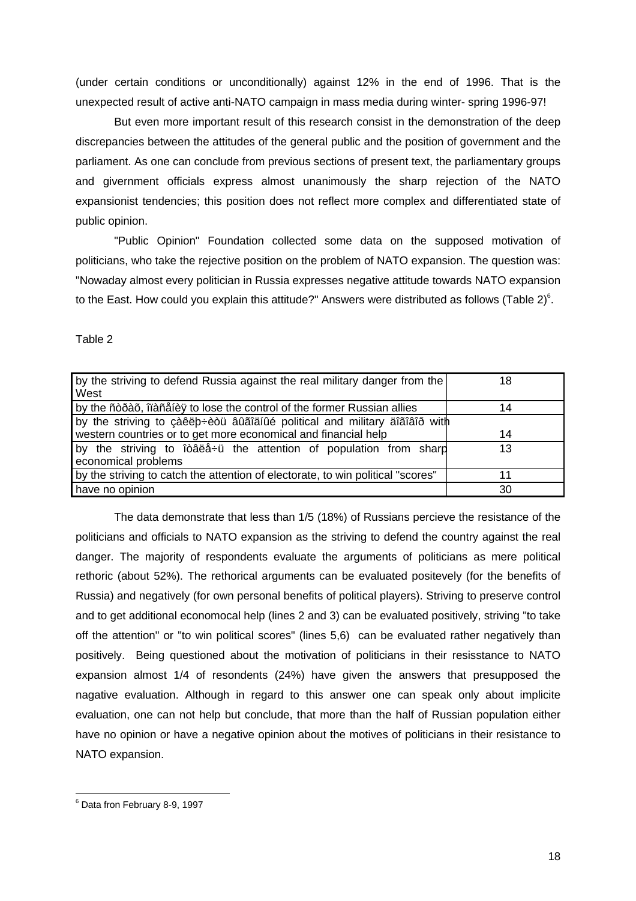(under certain conditions or unconditionally) against 12% in the end of 1996. That is the unexpected result of active anti-NATO campaign in mass media during winter- spring 1996-97!

But even more important result of this research consist in the demonstration of the deep discrepancies between the attitudes of the general public and the position of government and the parliament. As one can conclude from previous sections of present text, the parliamentary groups and givernment officials express almost unanimously the sharp rejection of the NATO expansionist tendencies; this position does not reflect more complex and differentiated state of public opinion.

"Public Opinion" Foundation collected some data on the supposed motivation of politicians, who take the rejective position on the problem of NATO expansion. The question was: "Nowaday almost every politician in Russia expresses negative attitude towards NATO expansion to the East. How could you explain this attitude?" Answers were distributed as follows (Table 2)<sup>6</sup>.

Table 2

| by the striving to defend Russia against the real military danger from the<br>West       | 18 |
|------------------------------------------------------------------------------------------|----|
| by the ñòðàõ, îïàñåíèÿ to lose the control of the former Russian allies                  | 14 |
| by the striving to çàêëb÷èòü âûãîäíûé political and military äîãîâîð with                |    |
| western countries or to get more economical and financial help                           | 14 |
| by the striving to îòâëå÷ü the attention of population from sharp<br>economical problems | 13 |
| by the striving to catch the attention of electorate, to win political "scores"          | 11 |
| have no opinion                                                                          | 30 |

The data demonstrate that less than 1/5 (18%) of Russians percieve the resistance of the politicians and officials to NATO expansion as the striving to defend the country against the real danger. The majority of respondents evaluate the arguments of politicians as mere political rethoric (about 52%). The rethorical arguments can be evaluated positevely (for the benefits of Russia) and negatively (for own personal benefits of political players). Striving to preserve control and to get additional economocal help (lines 2 and 3) can be evaluated positively, striving "to take off the attention" or "to win political scores" (lines 5,6) can be evaluated rather negatively than positively. Being questioned about the motivation of politicians in their resisstance to NATO expansion almost 1/4 of resondents (24%) have given the answers that presupposed the nagative evaluation. Although in regard to this answer one can speak only about implicite evaluation, one can not help but conclude, that more than the half of Russian population either have no opinion or have a negative opinion about the motives of politicians in their resistance to NATO expansion.

 6 Data fron February 8-9, 1997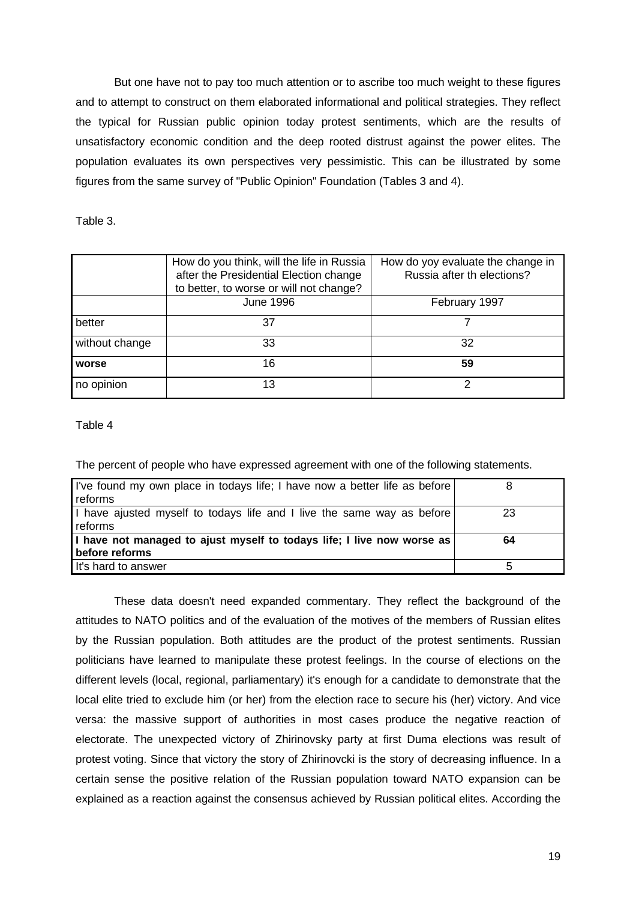But one have not to pay too much attention or to ascribe too much weight to these figures and to attempt to construct on them elaborated informational and political strategies. They reflect the typical for Russian public opinion today protest sentiments, which are the results of unsatisfactory economic condition and the deep rooted distrust against the power elites. The population evaluates its own perspectives very pessimistic. This can be illustrated by some figures from the same survey of "Public Opinion" Foundation (Tables 3 and 4).

Table 3.

|                | How do you think, will the life in Russia<br>after the Presidential Election change<br>to better, to worse or will not change? | How do yoy evaluate the change in<br>Russia after th elections? |
|----------------|--------------------------------------------------------------------------------------------------------------------------------|-----------------------------------------------------------------|
|                | <b>June 1996</b>                                                                                                               | February 1997                                                   |
| better         | 37                                                                                                                             |                                                                 |
| without change | 33                                                                                                                             | 32                                                              |
| worse          | 16                                                                                                                             | 59                                                              |
| no opinion     | 13                                                                                                                             | ⌒                                                               |

Table 4

The percent of people who have expressed agreement with one of the following statements.

| I've found my own place in todays life; I have now a better life as before<br>reforms    |    |
|------------------------------------------------------------------------------------------|----|
| I have ajusted myself to todays life and I live the same way as before<br>reforms        | 23 |
| I have not managed to ajust myself to todays life; I live now worse as<br>before reforms | 64 |
| It's hard to answer                                                                      | 5  |
|                                                                                          |    |

These data doesn't need expanded commentary. They reflect the background of the attitudes to NATO politics and of the evaluation of the motives of the members of Russian elites by the Russian population. Both attitudes are the product of the protest sentiments. Russian politicians have learned to manipulate these protest feelings. In the course of elections on the different levels (local, regional, parliamentary) it's enough for a candidate to demonstrate that the local elite tried to exclude him (or her) from the election race to secure his (her) victory. And vice versa: the massive support of authorities in most cases produce the negative reaction of electorate. The unexpected victory of Zhirinovsky party at first Duma elections was result of protest voting. Since that victory the story of Zhirinovcki is the story of decreasing influence. In a certain sense the positive relation of the Russian population toward NATO expansion can be explained as a reaction against the consensus achieved by Russian political elites. According the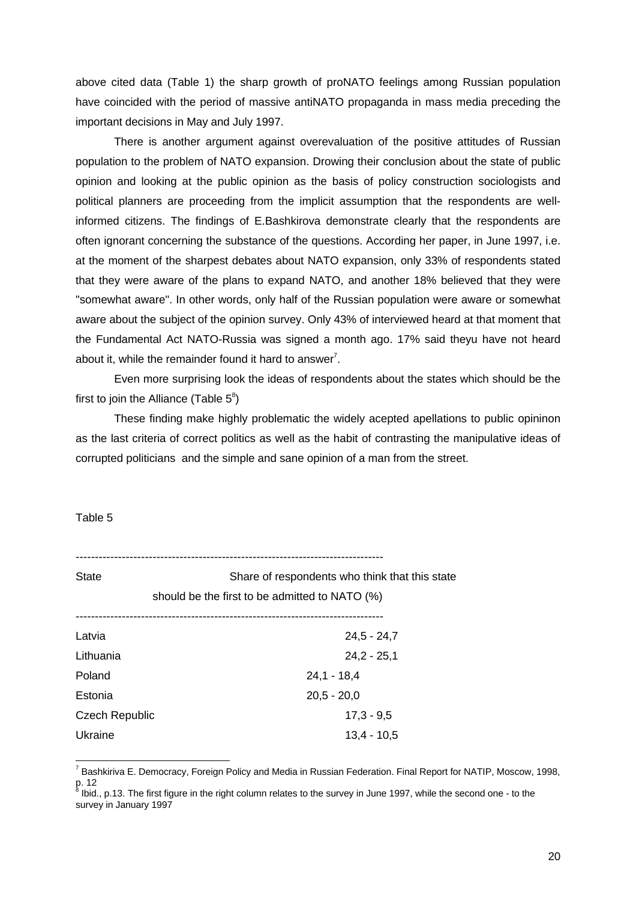above cited data (Table 1) the sharp growth of proNATO feelings among Russian population have coincided with the period of massive antiNATO propaganda in mass media preceding the important decisions in May and July 1997.

There is another argument against overevaluation of the positive attitudes of Russian population to the problem of NATO expansion. Drowing their conclusion about the state of public opinion and looking at the public opinion as the basis of policy construction sociologists and political planners are proceeding from the implicit assumption that the respondents are wellinformed citizens. The findings of E.Bashkirova demonstrate clearly that the respondents are often ignorant concerning the substance of the questions. According her paper, in June 1997, i.e. at the moment of the sharpest debates about NATO expansion, only 33% of respondents stated that they were aware of the plans to expand NATO, and another 18% believed that they were "somewhat aware". In other words, only half of the Russian population were aware or somewhat aware about the subject of the opinion survey. Only 43% of interviewed heard at that moment that the Fundamental Act NATO-Russia was signed a month ago. 17% said theyu have not heard about it, while the remainder found it hard to answer<sup>7</sup>.

Even more surprising look the ideas of respondents about the states which should be the first to join the Alliance (Table  $5^{\circ}$ )

These finding make highly problematic the widely acepted apellations to public opininon as the last criteria of correct politics as well as the habit of contrasting the manipulative ideas of corrupted politicians and the simple and sane opinion of a man from the street.

Table 5

 $\overline{a}$ 

--------------------------------------------------------------------------------

| <b>State</b>   | Share of respondents who think that this state |
|----------------|------------------------------------------------|
|                | should be the first to be admitted to NATO (%) |
|                |                                                |
| Latvia         | $24,5 - 24,7$                                  |
| Lithuania      | $24,2 - 25,1$                                  |
| Poland         | $24,1 - 18,4$                                  |
| Estonia        | $20.5 - 20.0$                                  |
| Czech Republic | $17,3 - 9,5$                                   |
| Ukraine        | $13.4 - 10.5$                                  |
|                |                                                |

<sup>&</sup>lt;sup>7</sup> Bashkiriva E. Democracy, Foreign Policy and Media in Russian Federation. Final Report for NATIP, Moscow, 1998, p. 12<br><sup>8</sup> հետ

Ibid., p.13. The first figure in the right column relates to the survey in June 1997, while the second one - to the survey in January 1997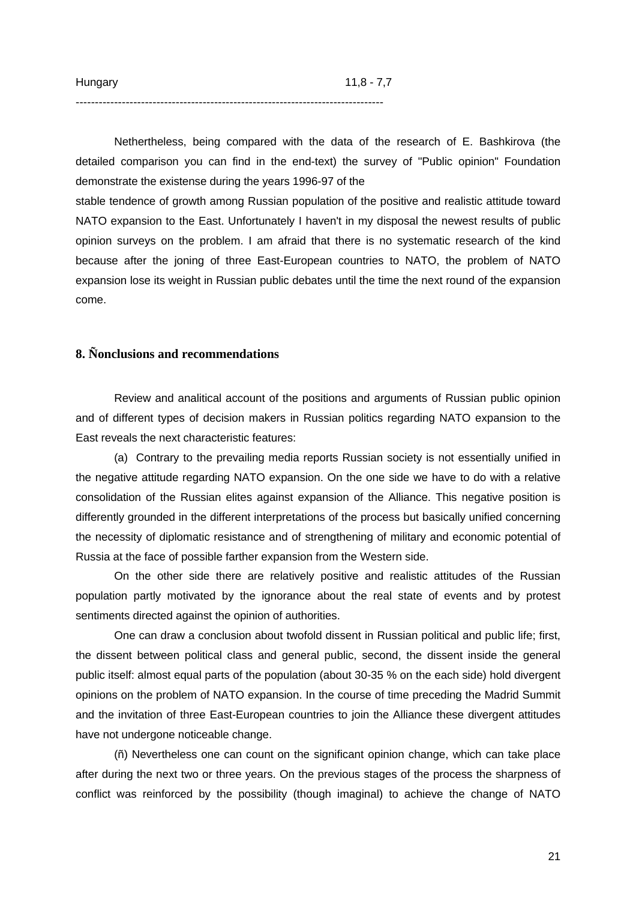Nethertheless, being compared with the data of the research of E. Bashkirova (the detailed comparison you can find in the end-text) the survey of "Public opinion" Foundation demonstrate the existense during the years 1996-97 of the

stable tendence of growth among Russian population of the positive and realistic attitude toward NATO expansion to the East. Unfortunately I haven't in my disposal the newest results of public opinion surveys on the problem. I am afraid that there is no systematic research of the kind because after the joning of three East-European countries to NATO, the problem of NATO expansion lose its weight in Russian public debates until the time the next round of the expansion come.

## **8. Ñonclusions and recommendations**

--------------------------------------------------------------------------------

Review and analitical account of the positions and arguments of Russian public opinion and of different types of decision makers in Russian politics regarding NATO expansion to the East reveals the next characteristic features:

(a) Contrary to the prevailing media reports Russian society is not essentially unified in the negative attitude regarding NATO expansion. On the one side we have to do with a relative consolidation of the Russian elites against expansion of the Alliance. This negative position is differently grounded in the different interpretations of the process but basically unified concerning the necessity of diplomatic resistance and of strengthening of military and economic potential of Russia at the face of possible farther expansion from the Western side.

On the other side there are relatively positive and realistic attitudes of the Russian population partly motivated by the ignorance about the real state of events and by protest sentiments directed against the opinion of authorities.

One can draw a conclusion about twofold dissent in Russian political and public life; first, the dissent between political class and general public, second, the dissent inside the general public itself: almost equal parts of the population (about 30-35 % on the each side) hold divergent opinions on the problem of NATO expansion. In the course of time preceding the Madrid Summit and the invitation of three East-European countries to join the Alliance these divergent attitudes have not undergone noticeable change.

(ñ) Nevertheless one can count on the significant opinion change, which can take place after during the next two or three years. On the previous stages of the process the sharpness of conflict was reinforced by the possibility (though imaginal) to achieve the change of NATO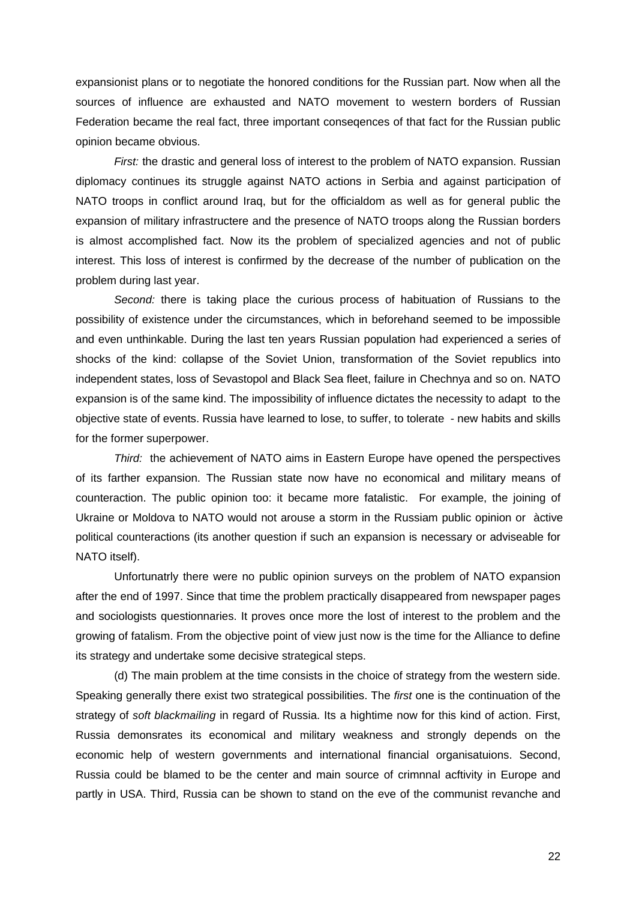expansionist plans or to negotiate the honored conditions for the Russian part. Now when all the sources of influence are exhausted and NATO movement to western borders of Russian Federation became the real fact, three important conseqences of that fact for the Russian public opinion became obvious.

*First:* the drastic and general loss of interest to the problem of NATO expansion. Russian diplomacy continues its struggle against NATO actions in Serbia and against participation of NATO troops in conflict around Iraq, but for the officialdom as well as for general public the expansion of military infrastructere and the presence of NATO troops along the Russian borders is almost accomplished fact. Now its the problem of specialized agencies and not of public interest. This loss of interest is confirmed by the decrease of the number of publication on the problem during last year.

*Second:* there is taking place the curious process of habituation of Russians to the possibility of existence under the circumstances, which in beforehand seemed to be impossible and even unthinkable. During the last ten years Russian population had experienced a series of shocks of the kind: collapse of the Soviet Union, transformation of the Soviet republics into independent states, loss of Sevastopol and Black Sea fleet, failure in Chechnya and so on. NATO expansion is of the same kind. The impossibility of influence dictates the necessity to adapt to the objective state of events. Russia have learned to lose, to suffer, to tolerate - new habits and skills for the former superpower.

*Third:* the achievement of NATO aims in Eastern Europe have opened the perspectives of its farther expansion. The Russian state now have no economical and military means of counteraction. The public opinion too: it became more fatalistic. For example, the joining of Ukraine or Moldova to NATO would not arouse a storm in the Russiam public opinion or àctive political counteractions (its another question if such an expansion is necessary or adviseable for NATO itself).

Unfortunatrly there were no public opinion surveys on the problem of NATO expansion after the end of 1997. Since that time the problem practically disappeared from newspaper pages and sociologists questionnaries. It proves once more the lost of interest to the problem and the growing of fatalism. From the objective point of view just now is the time for the Alliance to define its strategy and undertake some decisive strategical steps.

(d) The main problem at the time consists in the choice of strategy from the western side. Speaking generally there exist two strategical possibilities. The *first* one is the continuation of the strategy of *soft blackmailing* in regard of Russia. Its a hightime now for this kind of action. First, Russia demonsrates its economical and military weakness and strongly depends on the economic help of western governments and international financial organisatuions. Second, Russia could be blamed to be the center and main source of crimnnal acftivity in Europe and partly in USA. Third, Russia can be shown to stand on the eve of the communist revanche and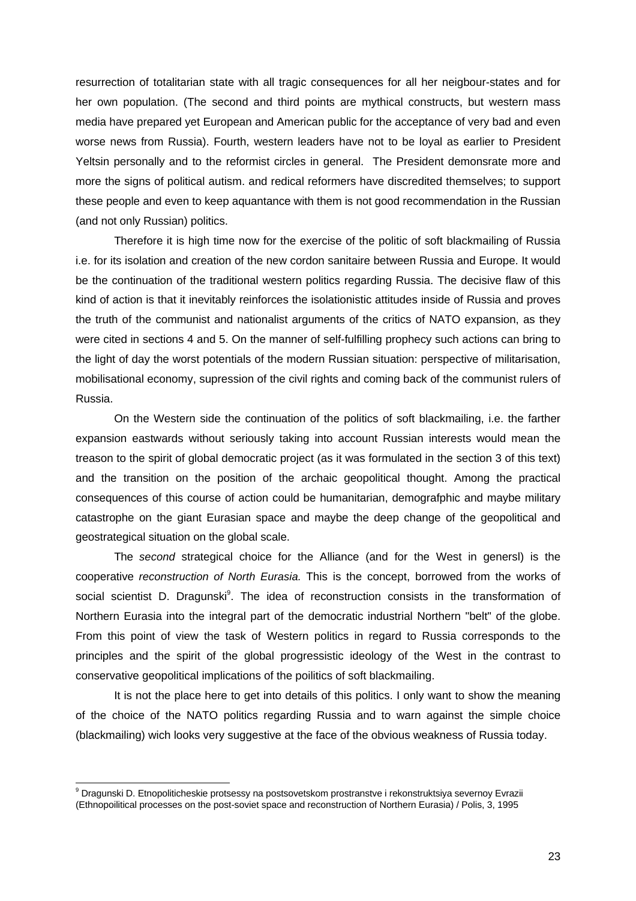resurrection of totalitarian state with all tragic consequences for all her neigbour-states and for her own population. (The second and third points are mythical constructs, but western mass media have prepared yet European and American public for the acceptance of very bad and even worse news from Russia). Fourth, western leaders have not to be loyal as earlier to President Yeltsin personally and to the reformist circles in general. The President demonsrate more and more the signs of political autism. and redical reformers have discredited themselves; to support these people and even to keep aquantance with them is not good recommendation in the Russian (and not only Russian) politics.

Therefore it is high time now for the exercise of the politic of soft blackmailing of Russia i.e. for its isolation and creation of the new cordon sanitaire between Russia and Europe. It would be the continuation of the traditional western politics regarding Russia. The decisive flaw of this kind of action is that it inevitably reinforces the isolationistic attitudes inside of Russia and proves the truth of the communist and nationalist arguments of the critics of NATO expansion, as they were cited in sections 4 and 5. On the manner of self-fulfilling prophecy such actions can bring to the light of day the worst potentials of the modern Russian situation: perspective of militarisation, mobilisational economy, supression of the civil rights and coming back of the communist rulers of Russia.

On the Western side the continuation of the politics of soft blackmailing, i.e. the farther expansion eastwards without seriously taking into account Russian interests would mean the treason to the spirit of global democratic project (as it was formulated in the section 3 of this text) and the transition on the position of the archaic geopolitical thought. Among the practical consequences of this course of action could be humanitarian, demografphic and maybe military catastrophe on the giant Eurasian space and maybe the deep change of the geopolitical and geostrategical situation on the global scale.

The *second* strategical choice for the Alliance (and for the West in genersl) is the cooperative *reconstruction of North Eurasia.* This is the concept, borrowed from the works of social scientist D. Dragunski<sup>9</sup>. The idea of reconstruction consists in the transformation of Northern Eurasia into the integral part of the democratic industrial Northern "belt" of the globe. From this point of view the task of Western politics in regard to Russia corresponds to the principles and the spirit of the global progressistic ideology of the West in the contrast to conservative geopolitical implications of the poilitics of soft blackmailing.

It is not the place here to get into details of this politics. I only want to show the meaning of the choice of the NATO politics regarding Russia and to warn against the simple choice (blackmailing) wich looks very suggestive at the face of the obvious weakness of Russia today.

 $\overline{a}$ 

<sup>&</sup>lt;sup>9</sup> Dragunski D. Etnopoliticheskie protsessy na postsovetskom prostranstve i rekonstruktsiya severnoy Evrazii (Ethnopoilitical processes on the post-soviet space and reconstruction of Northern Eurasia) / Polis, 3, 1995